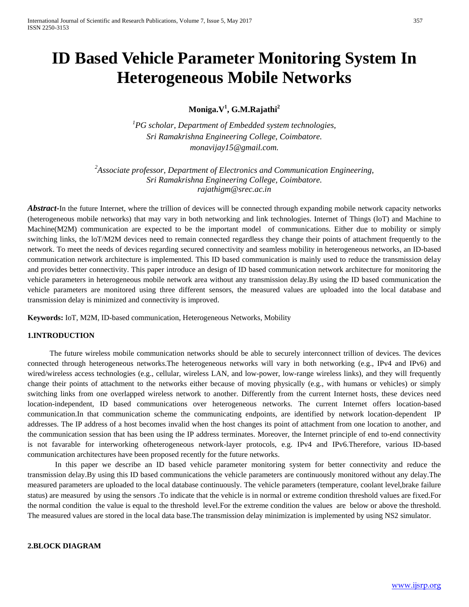# **ID Based Vehicle Parameter Monitoring System In Heterogeneous Mobile Networks**

# **Moniga.V1 , G.M.Rajathi<sup>2</sup>**

*1 PG scholar, Department of Embedded system technologies, Sri Ramakrishna Engineering College, Coimbatore. monavijay15@gmail.com.*

*2 Associate professor, Department of Electronics and Communication Engineering, Sri Ramakrishna Engineering College, Coimbatore. rajathigm@srec.ac.in*

*Abstract***-**In the future Internet, where the trillion of devices will be connected through expanding mobile network capacity networks (heterogeneous mobile networks) that may vary in both networking and link technologies. Internet of Things (loT) and Machine to Machine(M2M) communication are expected to be the important model of communications. Either due to mobility or simply switching links, the loT/M2M devices need to remain connected regardless they change their points of attachment frequently to the network. To meet the needs of devices regarding secured connectivity and seamless mobility in heterogeneous networks, an ID-based communication network architecture is implemented. This ID based communication is mainly used to reduce the transmission delay and provides better connectivity. This paper introduce an design of ID based communication network architecture for monitoring the vehicle parameters in heterogeneous mobile network area without any transmission delay.By using the ID based communication the vehicle parameters are monitored using three different sensors, the measured values are uploaded into the local database and transmission delay is minimized and connectivity is improved.

**Keywords:** IoT, M2M, ID-based communication, Heterogeneous Networks, Mobility

#### **1.INTRODUCTION**

The future wireless mobile communication networks should be able to securely interconnect trillion of devices. The devices connected through heterogeneous networks.The heterogeneous networks will vary in both networking (e.g., IPv4 and IPv6) and wired/wireless access technologies (e.g., cellular, wireless LAN, and low-power, low-range wireless links), and they will frequently change their points of attachment to the networks either because of moving physically (e.g., with humans or vehicles) or simply switching links from one overlapped wireless network to another. Differently from the current Internet hosts, these devices need location-independent, ID based communications over heterogeneous networks. The current Internet offers location-based communication.In that communication scheme the communicating endpoints, are identified by network location-dependent IP addresses. The IP address of a host becomes invalid when the host changes its point of attachment from one location to another, and the communication session that has been using the IP address terminates. Moreover, the Internet principle of end to-end connectivity is not favarable for interworking ofheterogeneous network-layer protocols, e.g. IPv4 and IPv6.Therefore, various ID-based communication architectures have been proposed recently for the future networks.

In this paper we describe an ID based vehicle parameter monitoring system for better connectivity and reduce the transmission delay.By using this ID based communications the vehicle parameters are continuously monitored without any delay.The measured parameters are uploaded to the local database continuously. The vehicle parameters (temperature, coolant level,brake failure status) are measured by using the sensors .To indicate that the vehicle is in normal or extreme condition threshold values are fixed.For the normal condition the value is equal to the threshold level.For the extreme condition the values are below or above the threshold. The measured values are stored in the local data base.The transmission delay minimization is implemented by using NS2 simulator.

#### **2.BLOCK DIAGRAM**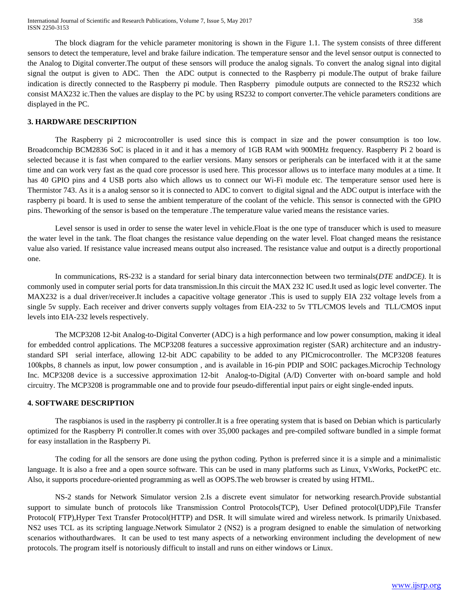The block diagram for the vehicle parameter monitoring is shown in the Figure 1.1. The system consists of three different sensors to detect the temperature, level and brake failure indication. The temperature sensor and the level sensor output is connected to the Analog to Digital converter.The output of these sensors will produce the analog signals. To convert the analog signal into digital signal the output is given to ADC. Then the ADC output is connected to the Raspberry pi module.The output of brake failure indication is directly connected to the Raspberry pi module. Then Raspberry pimodule outputs are connected to the RS232 which consist MAX232 ic.Then the values are display to the PC by using RS232 to comport converter.The vehicle parameters conditions are displayed in the PC.

#### **3. HARDWARE DESCRIPTION**

The Raspberry pi 2 microcontroller is used since this is compact in size and the power consumption is too low. Broadcomchip BCM2836 SoC is placed in it and it has a memory of 1GB RAM with 900MHz frequency. Raspberry Pi 2 board is selected because it is fast when compared to the earlier versions. Many sensors or peripherals can be interfaced with it at the same time and can work very fast as the quad core processor is used here. This processor allows us to interface many modules at a time. It has 40 GPIO pins and 4 USB ports also which allows us to connect our Wi-Fi module etc. The temperature sensor used here is Thermistor 743. As it is a analog sensor so it is connected to ADC to convert to digital signal and the ADC output is interface with the raspberry pi board. It is used to sense the ambient temperature of the coolant of the vehicle. This sensor is connected with the GPIO pins. Theworking of the sensor is based on the temperature .The temperature value varied means the resistance varies.

Level sensor is used in order to sense the water level in vehicle.Float is the one type of transducer which is used to measure the water level in the tank. The float changes the resistance value depending on the water level. Float changed means the resistance value also varied. If resistance value increased means output also increased. The resistance value and output is a directly proportional one.

In communications, RS-232 is a standard for serial binary data interconnection between two terminals(*DTE* and*DCE)*. It is commonly used in computer serial ports for data transmission.In this circuit the MAX 232 IC used.It used as logic level converter. The MAX232 is a dual driver/receiver.It includes a capacitive voltage generator .This is used to supply EIA 232 voltage levels from a single 5v supply. Each receiver and driver converts supply voltages from EIA-232 to 5v TTL/CMOS levels and TLL/CMOS input levels into EIA-232 levels respectively.

The MCP3208 12-bit Analog-to-Digital Converter (ADC) is a high performance and low power consumption, making it ideal for embedded control applications. The MCP3208 features a successive approximation register (SAR) architecture and an industrystandard SPI serial interface, allowing 12-bit ADC capability to be added to any PICmicrocontroller. The MCP3208 features 100kpbs, 8 channels as input, low power consumption , and is available in 16-pin PDIP and SOIC packages.Microchip Technology Inc. MCP3208 device is a successive approximation 12-bit Analog-to-Digital (A/D) Converter with on-board sample and hold circuitry. The MCP3208 is programmable one and to provide four pseudo-differential input pairs or eight single-ended inputs.

#### **4. SOFTWARE DESCRIPTION**

The raspbianos is used in the raspberry pi controller.It is a free operating system that is based on Debian which is particularly optimized for the Raspberry Pi controller.It comes with over 35,000 packages and pre-compiled software bundled in a simple format for easy installation in the Raspberry Pi.

The coding for all the sensors are done using the python coding. Python is preferred since it is a simple and a minimalistic language. It is also a free and a open source software. This can be used in many platforms such as Linux, VxWorks, PocketPC etc. Also, it supports procedure-oriented programming as well as OOPS.The web browser is created by using HTML.

NS-2 stands for Network Simulator version 2.Is a discrete event simulator for networking research.Provide substantial support to simulate bunch of protocols like Transmission Control Protocols(TCP), User Defined protocol(UDP),File Transfer Protocol( FTP),Hyper Text Transfer Protocol(HTTP) and DSR. It will simulate wired and wireless network. Is primarily Unixbased. NS2 uses TCL as its scripting language.Network Simulator 2 (NS2) is a program designed to enable the simulation of networking scenarios withouthardwares. It can be used to test many aspects of a networking environment including the development of new protocols. The program itself is notoriously difficult to install and runs on either windows or Linux.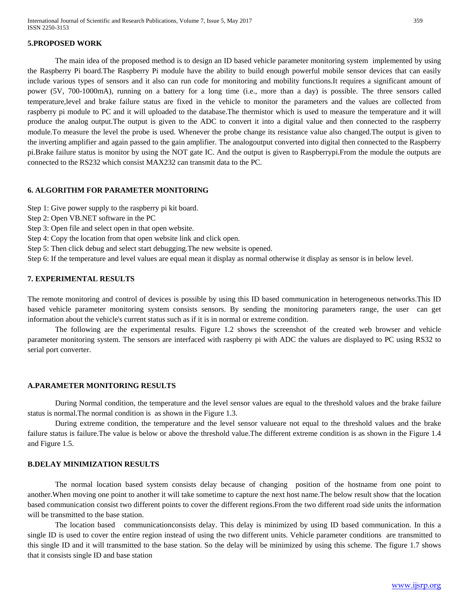#### **5.PROPOSED WORK**

The main idea of the proposed method is to design an ID based vehicle parameter monitoring system implemented by using the Raspberry Pi board.The Raspberry Pi module have the ability to build enough powerful mobile sensor devices that can easily include various types of sensors and it also can run code for monitoring and mobility functions.It requires a significant amount of power (5V, 700-1000mA), running on a battery for a long time (i.e., more than a day) is possible. The three sensors called temperature,level and brake failure status are fixed in the vehicle to monitor the parameters and the values are collected from raspberry pi module to PC and it will uploaded to the database.The thermistor which is used to measure the temperature and it will produce the analog output.The output is given to the ADC to convert it into a digital value and then connected to the raspberry module.To measure the level the probe is used. Whenever the probe change its resistance value also changed.The output is given to the inverting amplifier and again passed to the gain amplifier. The analogoutput converted into digital then connected to the Raspberry pi.Brake failure status is monitor by using the NOT gate IC. And the output is given to Raspberrypi.From the module the outputs are connected to the RS232 which consist MAX232 can transmit data to the PC.

#### **6. ALGORITHM FOR PARAMETER MONITORING**

Step 1: Give power supply to the raspberry pi kit board.

- Step 2: Open VB.NET software in the PC
- Step 3: Open file and select open in that open website.
- Step 4: Copy the location from that open website link and click open.
- Step 5: Then click debug and select start debugging.The new website is opened.

Step 6: If the temperature and level values are equal mean it display as normal otherwise it display as sensor is in below level.

#### **7. EXPERIMENTAL RESULTS**

The remote monitoring and control of devices is possible by using this ID based communication in heterogeneous networks.This ID based vehicle parameter monitoring system consists sensors. By sending the monitoring parameters range, the user can get information about the vehicle's current status such as if it is in normal or extreme condition.

The following are the experimental results. Figure 1.2 shows the screenshot of the created web browser and vehicle parameter monitoring system. The sensors are interfaced with raspberry pi with ADC the values are displayed to PC using RS32 to serial port converter.

#### **A.PARAMETER MONITORING RESULTS**

During Normal condition, the temperature and the level sensor values are equal to the threshold values and the brake failure status is normal.The normal condition is as shown in the Figure 1.3.

During extreme condition, the temperature and the level sensor valueare not equal to the threshold values and the brake failure status is failure.The value is below or above the threshold value.The different extreme condition is as shown in the Figure 1.4 and Figure 1.5.

## **B.DELAY MINIMIZATION RESULTS**

The normal location based system consists delay because of changing position of the hostname from one point to another.When moving one point to another it will take sometime to capture the next host name.The below result show that the location based communication consist two different points to cover the different regions.From the two different road side units the information will be transmitted to the base station.

The location based communicationconsists delay. This delay is minimized by using ID based communication. In this a single ID is used to cover the entire region instead of using the two different units. Vehicle parameter conditions are transmitted to this single ID and it will transmitted to the base station. So the delay will be minimized by using this scheme. The figure 1.7 shows that it consists single ID and base station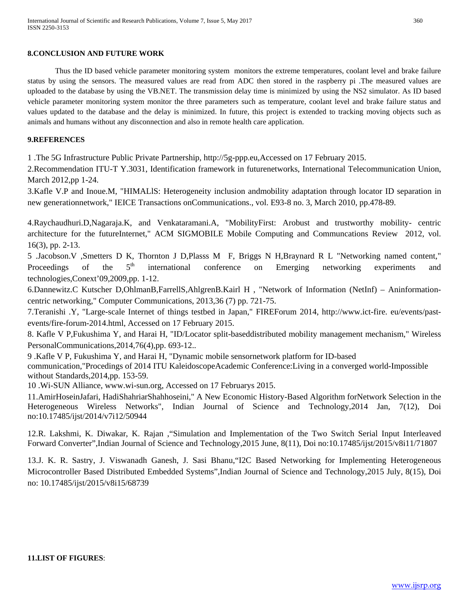## **8.CONCLUSION AND FUTURE WORK**

Thus the ID based vehicle parameter monitoring system monitors the extreme temperatures, coolant level and brake failure status by using the sensors. The measured values are read from ADC then stored in the raspberry pi .The measured values are uploaded to the database by using the VB.NET. The transmission delay time is minimized by using the NS2 simulator. As ID based vehicle parameter monitoring system monitor the three parameters such as temperature, coolant level and brake failure status and values updated to the database and the delay is minimized. In future, this project is extended to tracking moving objects such as animals and humans without any disconnection and also in remote health care application.

## **9.REFERENCES**

1 .The 5G Infrastructure Public Private Partnership, http://5g-ppp.eu,Accessed on 17 February 2015.

2.Recommendation ITU-T Y.3031, Identification framework in futurenetworks, International Telecommunication Union, March 2012,pp 1-24.

3.Kafle V.P and Inoue.M, "HIMALlS: Heterogeneity inclusion andmobility adaptation through locator ID separation in new generationnetwork," IEICE Transactions onCommunications., vol. E93-8 no. 3, March 2010, pp.478-89.

4.Raychaudhuri.D,Nagaraja.K, and Venkataramani.A, "MobilityFirst: Arobust and trustworthy mobility- centric architecture for the futureInternet," ACM SIGMOBILE Mobile Computing and Communcations Review 2012, vol. 16(3), pp. 2-13.

5 .Jacobson.V ,Smetters D K, Thornton J D,Plasss M F, Briggs N H,Braynard R L "Networking named content," Proceedings of the  $5<sup>th</sup>$  international conference on Emerging networking experiments and technologies,Conext'09,2009,pp. 1-12.

6.Dannewitz.C Kutscher D,OhlmanB,FarrellS,AhlgrenB.Kairl H , "Network of Information (NetInf) – Aninformationcentric networking," Computer Communications, 2013,36 (7) pp. 721-75.

7.Teranishi .Y, "Large-scale Internet of things testbed in Japan," FIREForum 2014, http://www.ict-fire. eu/events/pastevents/fire-forum-2014.html, Accessed on 17 February 2015.

8. Kafle V P,Fukushima Y, and Harai H, "ID/Locator split-baseddistributed mobility management mechanism," Wireless PersonalCommunications,2014,76(4),pp. 693-12..

9 .Kafle V P, Fukushima Y, and Harai H, "Dynamic mobile sensornetwork platform for ID-based

communication,"Procedings of 2014 ITU KaleidoscopeAcademic Conference:Living in a converged world-Impossible without Standards, 2014, pp. 153-59.

10 .Wi-SUN Alliance, www.wi-sun.org, Accessed on 17 Februarys 2015.

11.AmirHoseinJafari, HadiShahriarShahhoseini," A New Economic History-Based Algorithm forNetwork Selection in the Heterogeneous Wireless Networks", Indian Journal of Science and Technology,2014 Jan, 7(12), Doi no:10.17485/ijst/2014/v7i12/50944

12.R. Lakshmi, K. Diwakar, K. Rajan ,"Simulation and Implementation of the Two Switch Serial Input Interleaved Forward Converter",Indian Journal of Science and Technology,2015 June, 8(11), Doi no:10.17485/ijst/2015/v8i11/71807

13.J. K. R. Sastry, J. Viswanadh Ganesh, J. Sasi Bhanu,"I2C Based Networking for Implementing Heterogeneous Microcontroller Based Distributed Embedded Systems",Indian Journal of Science and Technology,2015 July, 8(15), Doi no: 10.17485/ijst/2015/v8i15/68739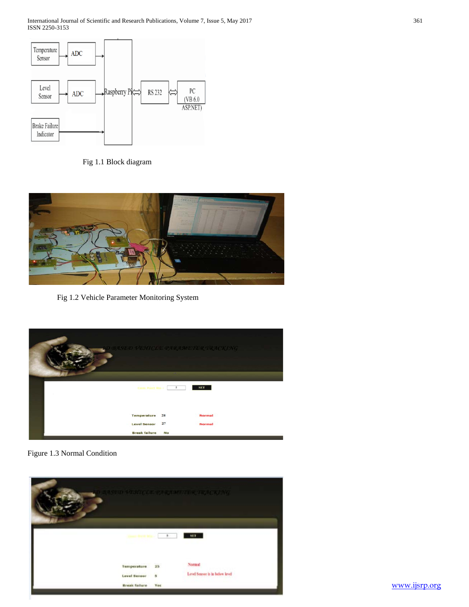International Journal of Scientific and Research Publications, Volume 7, Issue 5, May 2017 361 ISSN 2250-3153



Fig 1.1 Block diagram



Fig 1.2 Vehicle Parameter Monitoring System



Figure 1.3 Normal Condition

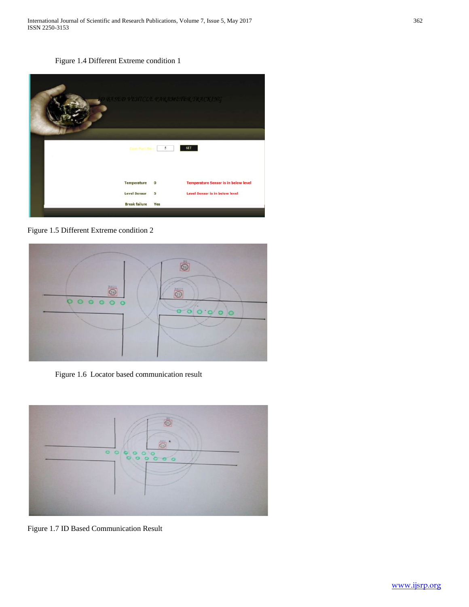International Journal of Scientific and Research Publications, Volume 7, Issue 5, May 2017 362 ISSN 2250-3153

Figure 1.4 Different Extreme condition 1



Figure 1.5 Different Extreme condition 2



Figure 1.6 Locator based communication result



Figure 1.7 ID Based Communication Result